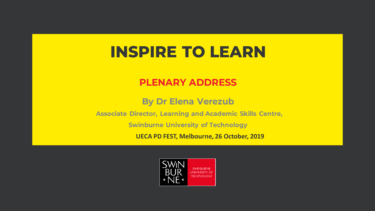# **INSPIRE TO LEARN**

### **PLENARY ADDRESS**

**By Dr Elena Verezub** 

**Associate Director, Learning and Academic Skills Centre,** 

**Swinburne University of Technology** 

UECA PD FEST, Melbourne, 26 October, 2019

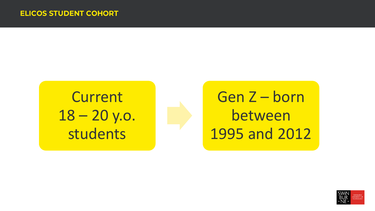**Current** 18 – 20 y.o. students

Gen Z – born between 1995 and 2012

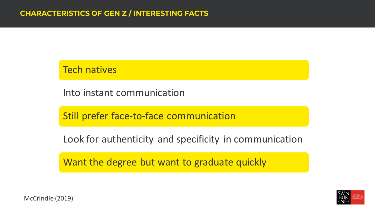### Tech natives

Into instant communication

Still prefer face-to-face communication

Look for authenticity and specificity in communication

Want the degree but want to graduate quickly



McCrindle (2019)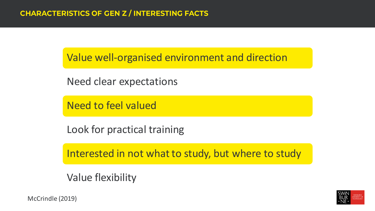Value well-organised environment and direction

Need clear expectations

Need to feel valued

Look for practical training

Interested in not what to study, but where to study

Value flexibility

McCrindle (2019)

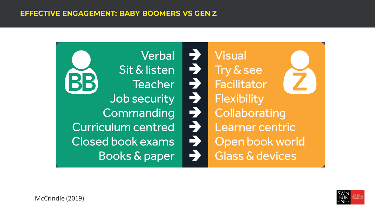**Verbal** Sit & listen **Teacher** Job security Commanding **Curriculum centred** Closed book exams **Books & paper** 

ファンシャンチンチ **Visual** Try & see Facilitator Flexibility Collaborating Learner centric Open book world Glass & devices

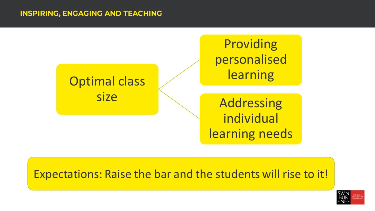#### **INSPIRING, ENGAGING AND TEACHING**



### Expectations: Raise the bar and the students will rise to it!

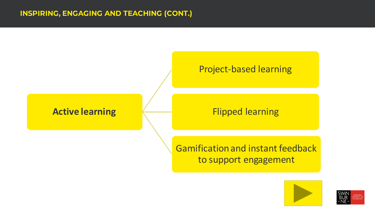

#### Project-based learning

### Flipped learning

### Gamification and instant feedback to support engagement



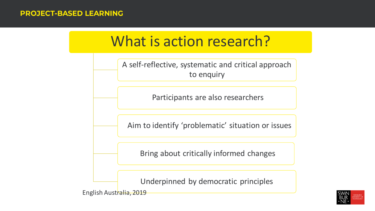#### **PROJECT-BASED LEARNING**

# What is action research?

A self-reflective, systematic and critical approach to enquiry

Participants are also researchers

Aim to identify 'problematic' situation or issues

Bring about critically informed changes

Underpinned by democratic principles

English Australia, 2019

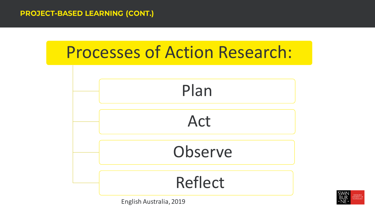





English Australia, 2019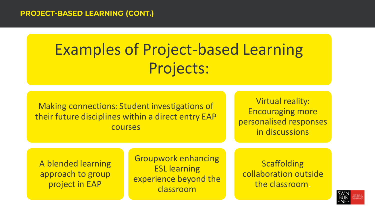# Examples of Project-based Learning Projects:

Making connections: Student investigations of their future disciplines within a direct entry EAP courses

Virtual reality: Encouraging more personalised responses in discussions

A blended learning approach to group project in EAP

Groupwork enhancing ESL learning experience beyond the classroom

**Scaffolding** collaboration outside the classroom.

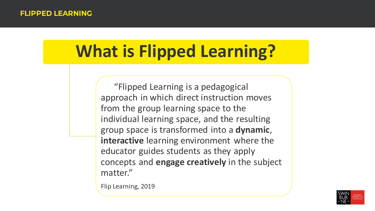# **What is Flipped Learning?**

"Flipped Learning is a pedagogical approach in which direct instruction moves from the group learning space to the individual learning space, and the resulting group space is transformed into a **dynamic**, **interactive** learning environment where the educator guides students as they apply concepts and **engage creatively** in the subject matter."

Flip Learning, 2019

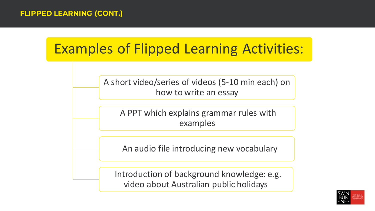# Examples of Flipped Learning Activities:

A short video/series of videos (5-10 min each) on how to write an essay

A PPT which explains grammar rules with examples

An audio file introducing new vocabulary

Introduction of background knowledge: e.g. video about Australian public holidays

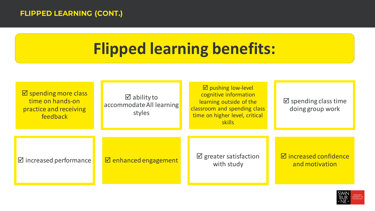#### **FLIPPED LEARNING (CONT.)**

# **Flipped learning benefits:**

| $\boxtimes$ spending more class<br>time on hands-on<br>practice and receiving<br>feedback | $\boxtimes$ ability to<br>accommodate All learning<br>styles | $\boxtimes$ pushing low-level<br>cognitive information<br>learning outside of the<br>classroom and spending class<br>time on higher level, critical<br><b>skills</b> | $\boxtimes$ spending class time<br>doing group work |
|-------------------------------------------------------------------------------------------|--------------------------------------------------------------|----------------------------------------------------------------------------------------------------------------------------------------------------------------------|-----------------------------------------------------|
| $\boxtimes$ increased performance                                                         | $\boxtimes$ enhanced engagement                              | $\boxtimes$ greater satisfaction<br>with study                                                                                                                       | $\boxdot$ increased confidence<br>and motivation    |

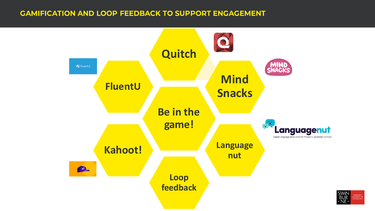#### **GAMIFICATION AND LOOP FEEDBACK TO SUPPORT ENGAGEMENT**



WINBURNE<br>IVERSITY OI<br>CHNOLOCY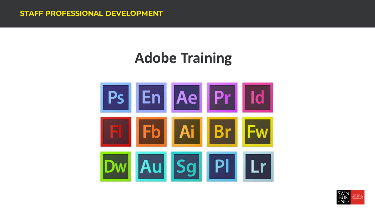# **Adobe Training**

![](_page_14_Picture_2.jpeg)

![](_page_14_Picture_3.jpeg)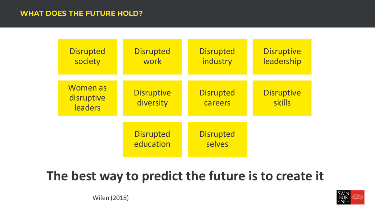#### **WHAT DOES THE FUTURE HOLD?**

| <b>Disrupted</b><br>society              | <b>Disrupted</b><br>work       | <b>Disrupted</b><br>industry | <b>Disruptive</b><br>leadership |
|------------------------------------------|--------------------------------|------------------------------|---------------------------------|
| <b>Women</b> as<br>disruptive<br>leaders | <b>Disruptive</b><br>diversity | <b>Disrupted</b><br>careers  | <b>Disruptive</b><br>skills     |
|                                          | <b>Disrupted</b><br>education  | <b>Disrupted</b><br>selves   |                                 |

## **The best way to predict the future is to create it**

![](_page_15_Picture_3.jpeg)

Wilen (2018)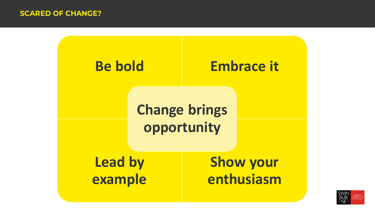![](_page_16_Figure_1.jpeg)

![](_page_16_Picture_2.jpeg)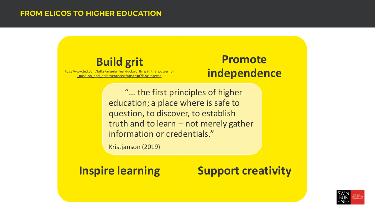#### **FROM ELICOS TO HIGHER EDUCATION**

### **Build grit**

[tps://www.ted.com/talks/angela\\_lee\\_duckworth\\_grit\\_the\\_power\\_of](https://www.ted.com/talks/angela_lee_duckworth_grit_the_power_of_passion_and_perseverance/transcript?language=en) \_passion\_and\_perseverance/transcript?language=en

### **Promote independence**

"… the first principles of higher education; a place where is safe to question, to discover, to establish truth and to learn – not merely gather information or credentials."

Kristjanson (2019)

### **Inspire learning The Support creativity**

![](_page_17_Picture_8.jpeg)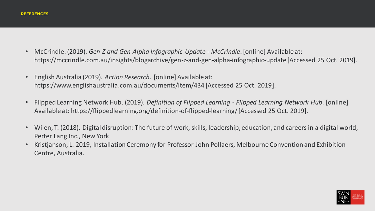- McCrindle. (2019). *Gen Z and Gen Alpha Infographic Update - McCrindle*. [online] Available at: https://mccrindle.com.au/insights/blogarchive/gen-z-and-gen-alpha-infographic-update [Accessed 25 Oct. 2019].
- English Australia (2019). *Action Research*. [online] Available at: https://www.englishaustralia.com.au/documents/item/434 [Accessed 25 Oct. 2019].
- Flipped Learning Network Hub. (2019). *Definition of Flipped Learning - Flipped Learning Network Hub*. [online] Available at: https://flippedlearning.org/definition-of-flipped-learning/ [Accessed 25 Oct. 2019].
- Wilen, T. (2018), Digital disruption: The future of work, skills, leadership, education, and careers in a digital world, Perter Lang Inc., New York
- Kristjanson, L. 2019, Installation Ceremony for Professor John Pollaers, Melbourne Convention and Exhibition Centre, Australia.

![](_page_18_Picture_6.jpeg)